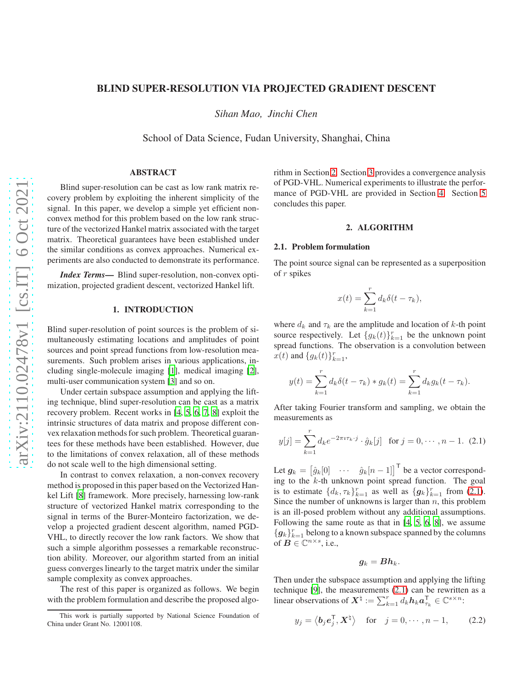## BLIND SUPER-RESOLUTION VIA PROJECTED GRADIENT DESCENT

*Sihan Mao, Jinchi Chen*

School of Data Science, Fudan University, Shanghai, China

# ABSTRACT

Blind super-resolution can be cast as low rank matrix recovery problem by exploiting the inherent simplicity of the signal. In this paper, we develop a simple yet efficient nonconvex method for this problem based on the low rank structure of the vectorized Hankel matrix associated with the target matrix. Theoretical guarantees have been established under the similar conditions as convex approaches. Numerical experiments are also conducted to demonstrate its performance.

*Index Terms*— Blind super-resolution, non-convex optimization, projected gradient descent, vectorized Hankel lift.

## 1. INTRODUCTION

Blind super-resolution of point sources is the problem of simultaneously estimating locations and amplitudes of point sources and point spread functions from low-resolution measurements. Such problem arises in various applications, including single-molecule imaging [\[1](#page-4-0)], medical imaging [\[2](#page-4-1)], multi-user communication system [\[3\]](#page-4-2) and so on.

Under certain subspace assumption and applying the lifting technique, blind super-resolution can be cast as a matrix recovery problem. Recent works in [\[4](#page-4-3), [5,](#page-4-4) [6,](#page-4-5) [7](#page-4-6), [8\]](#page-4-7) exploit the intrinsic structures of data matrix and propose different convex relaxation methods for such problem. Theoretical guarantees for these methods have been established. However, due to the limitations of convex relaxation, all of these methods do not scale well to the high dimensional setting.

In contrast to convex relaxation, a non-convex recovery method is proposed in this paper based on the Vectorized Hankel Lift [\[8\]](#page-4-7) framework. More precisely, harnessing low-rank structure of vectorized Hankel matrix corresponding to the signal in terms of the Burer-Monteiro factorization, we develop a projected gradient descent algorithm, named PGD-VHL, to directly recover the low rank factors. We show that such a simple algorithm possesses a remarkable reconstruction ability. Moreover, our algorithm started from an initial guess converges linearly to the target matrix under the similar sample complexity as convex approaches.

The rest of this paper is organized as follows. We begin with the problem formulation and describe the proposed algorithm in Section [2.](#page-0-0) Section [3](#page-2-0) provides a convergence analysis of PGD-VHL. Numerical experiments to illustrate the performance of PGD-VHL are provided in Section [4.](#page-2-1) Section [5](#page-3-0) concludes this paper.

#### 2. ALGORITHM

#### <span id="page-0-0"></span>2.1. Problem formulation

The point source signal can be represented as a superposition of r spikes

$$
x(t) = \sum_{k=1}^{r} d_k \delta(t - \tau_k),
$$

where  $d_k$  and  $\tau_k$  are the amplitude and location of k-th point source respectively. Let  $\{g_k(t)\}_{k=1}^r$  be the unknown point spread functions. The observation is a convolution between  $x(t)$  and  $\{g_k(t)\}_{k=1}^r$ ,

$$
y(t) = \sum_{k=1}^{r} d_k \delta(t - \tau_k) * g_k(t) = \sum_{k=1}^{r} d_k g_k(t - \tau_k).
$$

After taking Fourier transform and sampling, we obtain the measurements as

$$
y[j] = \sum_{k=1}^{r} d_k e^{-2\pi i \tau_k \cdot j} \cdot \hat{g}_k[j] \text{ for } j = 0, \cdots, n-1. (2.1)
$$

Let  $g_k = \begin{bmatrix} \hat{g}_k[0] & \cdots & \hat{g}_k[n-1] \end{bmatrix}^\mathsf{T}$  be a vector corresponding to the  $k$ -th unknown point spread function. The goal is to estimate  $\{d_k, \tau_k\}_{k=1}^r$  as well as  $\{g_k\}_{k=1}^r$  from [\(2.1\)](#page-0-1). Since the number of unknowns is larger than  $n$ , this problem is an ill-posed problem without any additional assumptions. Following the same route as that in [\[4](#page-4-3), [5](#page-4-4), [6](#page-4-5), [8](#page-4-7)], we assume  $\{\boldsymbol{g}_k\}_{k=1}^r$  belong to a known subspace spanned by the columns of  $\mathbf{B} \in \mathbb{C}^{n \times s}$ , i.e.,

<span id="page-0-2"></span><span id="page-0-1"></span>
$$
\boldsymbol{g}_k = \boldsymbol{B} \boldsymbol{h}_k.
$$

Then under the subspace assumption and applying the lifting technique [\[9\]](#page-4-8), the measurements [\(2.1\)](#page-0-1) can be rewritten as a linear observations of  $X^{\natural} := \sum_{k=1}^{r} d_k h_k a_{\tau_k}^{\mathsf{T}} \in \mathbb{C}^{s \times n}$ :

$$
y_j = \langle \mathbf{b}_j \mathbf{e}_j^\mathsf{T}, \mathbf{X}^\dagger \rangle
$$
 for  $j = 0, \dots, n-1,$  (2.2)

This work is partially supported by National Science Foundation of China under Grant No. 12001108.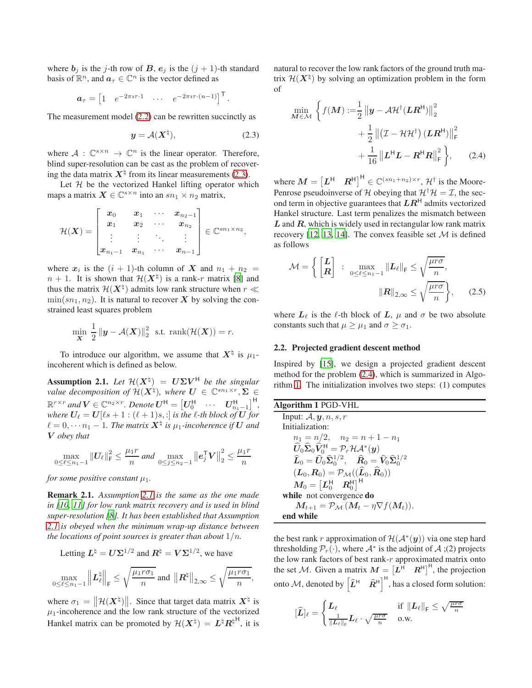where  $b_i$  is the j-th row of B,  $e_i$  is the  $(j + 1)$ -th standard basis of  $\mathbb{R}^n$ , and  $a_\tau \in \mathbb{C}^n$  is the vector defined as

$$
\mathbf{a}_{\tau} = \begin{bmatrix} 1 & e^{-2\pi i \tau \cdot 1} & \cdots & e^{-2\pi i \tau \cdot (n-1)} \end{bmatrix}^{\mathsf{T}}.
$$

The measurement model [\(2.2\)](#page-0-2) can be rewritten succinctly as

$$
y = \mathcal{A}(X^{\dagger}), \tag{2.3}
$$

where  $A: \mathbb{C}^{s \times n} \to \mathbb{C}^n$  is the linear operator. Therefore, blind super-resolution can be cast as the problem of recovering the data matrix  $X^{\dagger}$  from its linear measurements [\(2.3\)](#page-1-0).

Let  $H$  be the vectorized Hankel lifting operator which maps a matrix  $\mathbf{X} \in \mathbb{C}^{s \times n}$  into an  $sn_1 \times n_2$  matrix,

$$
\mathcal{H}(\bm{X}) = \begin{bmatrix} \bm{x}_0 & \bm{x}_1 & \cdots & \bm{x}_{n_2-1} \\ \bm{x}_1 & \bm{x}_2 & \cdots & \bm{x}_{n_2} \\ \vdots & \vdots & \ddots & \vdots \\ \bm{x}_{n_1-1} & \bm{x}_{n_1} & \cdots & \bm{x}_{n-1} \end{bmatrix} \in \mathbb{C}^{sn_1 \times n_2},
$$

where  $x_i$  is the  $(i + 1)$ -th column of X and  $n_1 + n_2 =$  $n + 1$ . It is shown that  $\mathcal{H}(\boldsymbol{X}^{\natural})$  is a rank-r matrix [\[8\]](#page-4-7) and thus the matrix  $\mathcal{H}(X^{\natural})$  admits low rank structure when  $r \ll 1$  $\min(\mathfrak{sn}_1, \mathfrak{n}_2)$ . It is natural to recover X by solving the constrained least squares problem

$$
\min_{\mathbf{X}} \frac{1}{2} \left\| \mathbf{y} - \mathcal{A}(\mathbf{X}) \right\|_{2}^{2} \text{ s.t. } \text{rank}(\mathcal{H}(\mathbf{X})) = r.
$$

To introduce our algorithm, we assume that  $X^{\dagger}$  is  $\mu_1$ incoherent which is defined as below.

<span id="page-1-1"></span>Assumption 2.1. Let  $\mathcal{H}(X^{\natural}) = U\Sigma V^{\natural}$  be the singular *value decomposition of*  $\mathcal{H}(\mathbf{X}^{\natural})$ , where  $\mathbf{U} \in \mathbb{C}^{sn_1 \times r}, \mathbf{\Sigma} \in$  $\mathbb{R}^{r \times r}$  and  $V \in \mathbb{C}^{n_2 \times r}$ . Denote  $U^{\mathsf{H}} = \begin{bmatrix} U_0^{\mathsf{H}} & \cdots & U_{n_1-1}^{\mathsf{H}} \end{bmatrix}^{\mathsf{H}}$ , *where*  $U_{\ell} = U[\ell s + 1 : (\ell + 1)s, :]$  *is the l-th block of*  $U$  *for*  $\ell = 0, \cdots n_1 - 1$ . The matrix  $X^{\natural}$  is  $\mu_1$ -incoherence if  $U$  and V *obey that*

$$
\max_{0 \le \ell \le n_1 - 1} \|U_{\ell}\|_{\mathsf{F}}^2 \le \frac{\mu_1 r}{n} \text{ and } \max_{0 \le j \le n_2 - 1} \left\| \mathbf{e}_j^{\mathsf{T}} \mathbf{V} \right\|_2^2 \le \frac{\mu_1 r}{n}
$$

*for some positive constant*  $\mu_1$ *.* 

 $-L = 1/2$ 

Remark 2.1. *Assumption [2.1](#page-1-1) is the same as the one made in [\[10,](#page-4-9) [11\]](#page-4-10) for low rank matrix recovery and is used in blind super-resolution [\[8](#page-4-7)]. It has been established that Assumption [2.1](#page-1-1) is obeyed when the minimum wrap-up distance between the locations of point sources is greater than about* 1/n*.*

Letting 
$$
\mathbf{L}^{\natural} = \mathbf{U}\Sigma^{1/2}
$$
 and  $\mathbf{R}^{\natural} = \mathbf{V}\Sigma^{1/2}$ , we have  
\n
$$
\max_{0 \le \ell \le n_1 - 1} \left\| \mathbf{L}_{\ell}^{\natural} \right\|_{\mathrm{F}} \le \sqrt{\frac{\mu_1 r \sigma_1}{n}} \text{ and } \left\| \mathbf{R}^{\natural} \right\|_{2, \infty} \le \sqrt{\frac{\mu_1 r \sigma_1}{n}},
$$

where  $\sigma_1 = ||\mathcal{H}(X^{\natural})||$ . Since that target data matrix  $X^{\natural}$  is  $\mu_1$ -incoherence and the low rank structure of the vectorized Hankel matrix can be promoted by  $\mathcal{H}(\boldsymbol{X}^{\natural}) = \boldsymbol{L}^{\natural} \boldsymbol{R}^{\natural H}$ , it is natural to recover the low rank factors of the ground truth matrix  $\mathcal{H}(\boldsymbol{X}^{\natural})$  by solving an optimization problem in the form of

<span id="page-1-2"></span><span id="page-1-0"></span>
$$
\min_{\mathbf{M} \in \mathcal{M}} \left\{ f(\mathbf{M}) := \frac{1}{2} \left\| \mathbf{y} - \mathcal{A} \mathcal{H}^{\dagger}(\mathbf{L} \mathbf{R}^{\mathsf{H}}) \right\|_{2}^{2} + \frac{1}{2} \left\| (\mathcal{I} - \mathcal{H} \mathcal{H}^{\dagger}) (\mathbf{L} \mathbf{R}^{\mathsf{H}}) \right\|_{\mathsf{F}}^{2} + \frac{1}{16} \left\| \mathbf{L}^{\mathsf{H}} \mathbf{L} - \mathbf{R}^{\mathsf{H}} \mathbf{R} \right\|_{\mathsf{F}}^{2} \right\}, \quad (2.4)
$$

where  $M = \begin{bmatrix} L^H & R^H \end{bmatrix}^H \in \mathbb{C}^{(sn_1+n_2)\times r}$ ,  $\mathcal{H}^{\dagger}$  is the Moore-Penrose pseudoinverse of H obeying that  $\mathcal{H}^{\dagger} \mathcal{H} = \mathcal{I}$ , the second term in objective guarantees that  $LR^H$  admits vectorized Hankel structure. Last term penalizes the mismatch between  $L$  and  $R$ , which is widely used in rectangular low rank matrix recovery [\[12](#page-4-11), [13,](#page-4-12) [14\]](#page-4-13). The convex feasible set  $M$  is defined as follows

$$
\mathcal{M} = \left\{ \begin{bmatrix} \mathbf{L} \\ \mathbf{R} \end{bmatrix} : \max_{0 \le \ell \le n_1 - 1} \|\mathbf{L}_{\ell}\|_{\mathrm{F}} \le \sqrt{\frac{\mu r \sigma}{n}}, \|\mathbf{R}\|_{2,\infty} \le \sqrt{\frac{\mu r \sigma}{n}} \right\},\qquad(2.5)
$$

where  $L_{\ell}$  is the  $\ell$ -th block of  $L$ ,  $\mu$  and  $\sigma$  be two absolute constants such that  $\mu \geq \mu_1$  and  $\sigma \geq \sigma_1$ .

#### 2.2. Projected gradient descent method

Inspired by [\[15](#page-4-14)], we design a projected gradient descent method for the problem [\(2.4\)](#page-1-2), which is summarized in Algorithm [1.](#page-1-3) The initialization involves two steps: (1) computes

<span id="page-1-3"></span>

| Algorithm 1 PGD-VHL                                                                                                                      |
|------------------------------------------------------------------------------------------------------------------------------------------|
| Input: $A, y, n, s, r$                                                                                                                   |
| Initialization:                                                                                                                          |
| $n_1 = n/2, \quad n_2 = n+1-n_1$                                                                                                         |
| $\widehat{U}_0 \widehat{\Sigma}_0 \widehat{V}_0^{\mathsf{H}} = \mathcal{P}_r \mathcal{H} \mathcal{A}^*(y)$                               |
| $\widehat{\mathbf{L}}_0 = \widehat{U}_0 \widehat{\Sigma}_0^{1/2}, \quad \widehat{\mathbf{R}}_0 = \widehat{V}_0 \widehat{\Sigma}_0^{1/2}$ |
| $(\boldsymbol{L}_0, \boldsymbol{R}_0) = \mathcal{P}_\mathcal{M}((\widehat{\boldsymbol{L}}_0, \widehat{\boldsymbol{R}}_0))$               |
| $M_0 = \begin{bmatrix} L_0^{\mathsf{H}} & R_0^{\mathsf{H}} \end{bmatrix}^{\mathsf{H}}$                                                   |
| while not convergence do                                                                                                                 |
| $M_{t+1} = \mathcal{P}_{\mathcal{M}} (M_t - \eta \nabla f(M_t)).$                                                                        |
| end while                                                                                                                                |

the best rank r approximation of  $\mathcal{H}(\mathcal{A}^*(y))$  via one step hard thresholding  $\mathcal{P}_r(\cdot)$ , where  $\mathcal{A}^*$  is the adjoint of  $\mathcal{A}$ ; (2) projects the low rank factors of best rank- $r$  approximated matrix onto the set M. Given a matrix  $M = \begin{bmatrix} L^H & R^H \end{bmatrix}^H$ , the projection onto M, denoted by  $\left[\widehat{L}^H \quad \widehat{R}^H\right]^H$ , has a closed form solution:

$$
[\widehat{L}]_{\ell} = \begin{cases} L_{\ell} & \text{if } \|L_{\ell}\|_{\text{F}} \leq \sqrt{\frac{\mu r \sigma}{n}} \\ \frac{1}{\|L_{\ell}\|_{\text{F}}} L_{\ell} \cdot \sqrt{\frac{\mu r \sigma}{n}} & \text{o.w.} \end{cases}
$$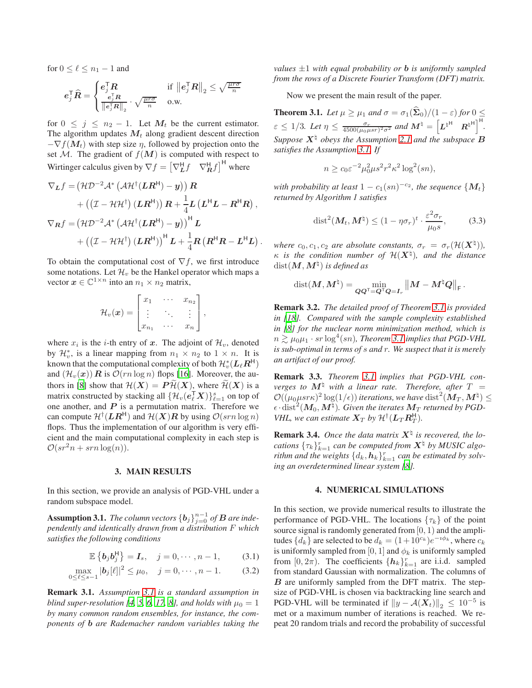for  $0 \leq \ell \leq n_1 - 1$  and

$$
\boldsymbol{e}_j^\top \boldsymbol{\widehat{R}} = \begin{cases} \boldsymbol{e}_j^\top \boldsymbol{R} & \text{if } {\left\| \boldsymbol{e}_j^\top \boldsymbol{R} \right\|}_2 \leq \sqrt{\frac{\mu r \sigma}{n}} \\ \frac{\boldsymbol{e}_j^\top \boldsymbol{R}}{\left\| \boldsymbol{e}_j^\top \boldsymbol{R} \right\|_2} \cdot \sqrt{\frac{\mu r \sigma}{n}} & \text{o.w.} \end{cases}
$$

for  $0 \leq j \leq n_2 - 1$ . Let  $M_t$  be the current estimator. The algorithm updates  $M_t$  along gradient descent direction  $-\nabla f(\mathbf{M}_t)$  with step size  $\eta$ , followed by projection onto the set M. The gradient of  $f(M)$  is computed with respect to Wirtinger calculus given by  $\nabla f = \left[\nabla_L^H f \quad \nabla_R^H f\right]^H$  where

$$
\nabla_{L} f = (\mathcal{H} \mathcal{D}^{-2} \mathcal{A}^{*} (\mathcal{A} \mathcal{H}^{\dagger} (LR^{H}) - y)) R \n+ ((\mathcal{I} - \mathcal{H} \mathcal{H}^{\dagger}) (LR^{H}) ) R + \frac{1}{4} L (L^{H} L - R^{H} R) , \n\nabla_{R} f = (\mathcal{H} \mathcal{D}^{-2} \mathcal{A}^{*} (\mathcal{A} \mathcal{H}^{\dagger} (LR^{H}) - y))^{H} L \n+ ((\mathcal{I} - \mathcal{H} \mathcal{H}^{\dagger}) (LR^{H}) )^{H} L + \frac{1}{4} R (R^{H} R - L^{H} L) .
$$

To obtain the computational cost of  $\nabla f$ , we first introduce some notations. Let  $\mathcal{H}_v$  be the Hankel operator which maps a vector  $\boldsymbol{x} \in \mathbb{C}^{1 \times n}$  into an  $n_1 \times n_2$  matrix,

$$
\mathcal{H}_v(\boldsymbol{x}) = \begin{bmatrix} x_1 & \cdots & x_{n_2} \\ \vdots & \ddots & \vdots \\ x_{n_1} & \cdots & x_n \end{bmatrix},
$$

where  $x_i$  is the *i*-th entry of x. The adjoint of  $\mathcal{H}_v$ , denoted by  $\mathcal{H}_v^*$ , is a linear mapping from  $n_1 \times n_2$  to  $1 \times n$ . It is known that the computational complexity of both  $\mathcal{H}_{v}^{*}(L_{\ell}R^{H})$ and  $(\mathcal{H}_v(\boldsymbol{x}))$  R is  $\mathcal{O}(rn \log n)$  flops [\[16\]](#page-4-15). Moreover, the au-thors in [\[8\]](#page-4-7) show that  $\mathcal{H}(X) = P\mathcal{H}(X)$ , where  $\mathcal{H}(X)$  is a matrix constructed by stacking all  $\{\mathcal{H}_v(e_k^{\mathsf{T}}\boldsymbol{X})\}_{\ell=1}^s$  on top of one another, and  $P$  is a permutation matrix. Therefore we can compute  $\mathcal{H}^{\dagger}(\boldsymbol{L}\boldsymbol{R}^{\mathsf{H}})$  and  $\mathcal{H}(\boldsymbol{X})\boldsymbol{R}$  by using  $\mathcal{O}(srn\log n)$ flops. Thus the implementation of our algorithm is very efficient and the main computational complexity in each step is  $\mathcal{O}(sr^2n + srn \log(n)).$ 

#### 3. MAIN RESULTS

<span id="page-2-0"></span>In this section, we provide an analysis of PGD-VHL under a random subspace model.

<span id="page-2-2"></span>**Assumption 3.1.** *The column vectors*  $\{b_j\}_{j=0}^{n-1}$  *of*  $B$  *are independently and identically drawn from a distribution* F *which satisfies the following conditions*

$$
\mathbb{E}\left\{\boldsymbol{b}_j \boldsymbol{b}_j^{\mathsf{H}}\right\} = \boldsymbol{I}_s, \quad j = 0, \cdots, n-1,
$$
 (3.1)

$$
\max_{0 \le \ell \le s-1} |b_j[\ell]|^2 \le \mu_0, \quad j = 0, \cdots, n-1. \tag{3.2}
$$

Remark 3.1. *Assumption [3.1](#page-2-2) is a standard assumption in blind super-resolution [\[4](#page-4-3), [5](#page-4-4), [6](#page-4-5), [17](#page-4-16), [8](#page-4-7)], and holds with*  $\mu_0 = 1$ *by many common random ensembles, for instance, the components of* b *are Rademacher random variables taking the* *values* ±1 *with equal probability or* b *is uniformly sampled from the rows of a Discrete Fourier Transform (DFT) matrix.*

Now we present the main result of the paper.

<span id="page-2-3"></span>**Theorem 3.1.** *Let*  $\mu \geq \mu_1$  *and*  $\sigma = \sigma_1(\hat{\Sigma}_0)/(1-\varepsilon)$  *for*  $0 \leq$  $\varepsilon \leq 1/3$ *. Let*  $\eta \leq \frac{\sigma_r}{4500(\mu_0\mu sr)^2\sigma^2}$  and  $\mathbf{M}^{\natural} = \left[ \mathbf{L}^{\natural H} \right]^{H} \mathbf{R}^{\natural H}$ . *Suppose*  $X^{\nmid}$  *obeys the Assumption* [2.1](#page-1-1) *and the subspace*  $B$ *satisfies the Assumption [3.1.](#page-2-2) If*

$$
n \ge c_0 \varepsilon^{-2} \mu_0^2 \mu s^2 r^2 \kappa^2 \log^2(sn),
$$

*with probability at least*  $1 - c_1(sn)^{-c_2}$ *, the sequence*  $\{M_t\}$ *returned by Algorithm 1 satisfies*

$$
\operatorname{dist}^2(M_t, M^\dagger) \le (1 - \eta \sigma_r)^t \cdot \frac{\varepsilon^2 \sigma_r}{\mu_0 s},\tag{3.3}
$$

*where*  $c_0, c_1, c_2$  *are absolute constants,*  $\sigma_r = \sigma_r(\mathcal{H}(\mathbf{X}^{\natural})),$  $\kappa$  is the condition number of  $\mathcal{H}(\boldsymbol{X}^{\natural})$ , and the distance  $\mathop\mathrm{dist}\nolimits(\bm{M},\bm{M}^\natural)$  is defined as

$$
\text{dist}(\boldsymbol{M},\boldsymbol{M}^\natural)=\min_{\boldsymbol{Q}\boldsymbol{Q}^\top=\boldsymbol{Q}^\top\boldsymbol{Q}=\boldsymbol{I}_r}\left\|\boldsymbol{M}-\boldsymbol{M}^\natural\boldsymbol{Q}\right\|_{\text{F}}.
$$

Remark 3.2. *The detailed proof of Theorem [3.1](#page-2-3) is provided in [\[18\]](#page-4-17). Compared with the sample complexity established in [\[8\]](#page-4-7) for the nuclear norm minimization method, which is*  $n \gtrsim \mu_0 \mu_1 \cdot sr \log^4(sn)$ , Theorem [3.1](#page-2-3) implies that PGD-VHL *is sub-optimal in terms of* s *and* r*. We suspect that it is merely an artifact of our proof.*

Remark 3.3. *Theorem [3.1](#page-2-3) implies that PGD-VHL converges to*  $M^{\natural}$  *with a linear rate. Therefore, after*  $T =$  $\mathcal{O}((\mu_0 \mu s r \kappa)^2 \log(1/\epsilon))$  iterations, we have  $\mathrm{dist}^2(\bm{M}_T, \bm{M}^\natural) \leq$  $\epsilon \cdot \text{dist}^2(M_0, M^\natural)$ . Given the iterates  $M_T$  returned by PGD-*VHL, we can estimate*  $X_T$  *by*  $\mathcal{H}^{\dagger}(\mathbf{L}_T \mathbf{R}_T^{\mathsf{H}})$ *.* 

**Remark 3.4.** Once the data matrix  $X^{\dagger}$  is recovered, the lo*cations*  $\{\tau_k\}_{k=1}^r$  *can be computed from*  $X^{\dagger}$  *by MUSIC algorithm and the weights*  $\{d_k, h_k\}_{k=1}^r$  *can be estimated by solving an overdetermined linear system [\[8\]](#page-4-7).*

#### 4. NUMERICAL SIMULATIONS

<span id="page-2-1"></span>In this section, we provide numerical results to illustrate the performance of PGD-VHL. The locations  $\{\tau_k\}$  of the point source signal is randomly generated from  $[0, 1)$  and the amplitudes  $\{d_k\}$  are selected to be  $d_k = (1+10^{c_k})e^{-i\phi_k}$ , where  $c_k$ is uniformly sampled from [0, 1] and  $\phi_k$  is uniformly sampled from  $[0, 2\pi)$ . The coefficients  $\{h_k\}_{k=1}^r$  are i.i.d. sampled from standard Gaussian with normalization. The columns of  $B$  are uniformly sampled from the DFT matrix. The stepsize of PGD-VHL is chosen via backtracking line search and PGD-VHL will be terminated if  $||y - A(X_t)||_2 \le 10^{-5}$  is met or a maximum number of iterations is reached. We repeat 20 random trials and record the probability of successful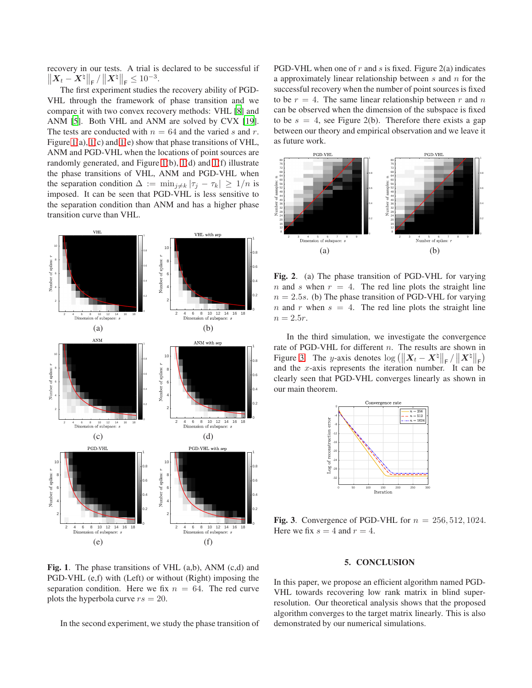recovery in our tests. A trial is declared to be successful if  $||\bm{X}_t - \bm{X}^{\natural}||_{\textsf{F}} / ||\bm{X}^{\natural}||_{\textsf{F}} \leq 10^{-3}.$ 

The first experiment studies the recovery ability of PGD-VHL through the framework of phase transition and we compare it with two convex recovery methods: VHL [\[8\]](#page-4-7) and ANM [\[5\]](#page-4-4). Both VHL and ANM are solved by CVX [\[19\]](#page-4-18). The tests are conducted with  $n = 64$  and the varied s and r. Figure [1\(](#page-3-1)a), [1\(](#page-3-1)c) and [1\(](#page-3-1)e) show that phase transitions of VHL, ANM and PGD-VHL when the locations of point sources are randomly generated, and Figure [1\(](#page-3-1)b), [1\(](#page-3-1)d) and [1\(](#page-3-1)f) illustrate the phase transitions of VHL, ANM and PGD-VHL when the separation condition  $\Delta := \min_{j \neq k} |\tau_j - \tau_k| \geq 1/n$  is imposed. It can be seen that PGD-VHL is less sensitive to the separation condition than ANM and has a higher phase transition curve than VHL.



<span id="page-3-1"></span>Fig. 1. The phase transitions of VHL  $(a,b)$ , ANM  $(c,d)$  and PGD-VHL (e,f) with (Left) or without (Right) imposing the separation condition. Here we fix  $n = 64$ . The red curve plots the hyperbola curve  $rs = 20$ .

In the second experiment, we study the phase transition of

PGD-VHL when one of r and s is fixed. Figure  $2(a)$  indicates a approximately linear relationship between  $s$  and  $n$  for the successful recovery when the number of point sources is fixed to be  $r = 4$ . The same linear relationship between r and n can be observed when the dimension of the subspace is fixed to be  $s = 4$ , see Figure 2(b). Therefore there exists a gap between our theory and empirical observation and we leave it as future work.



Fig. 2. (a) The phase transition of PGD-VHL for varying n and s when  $r = 4$ . The red line plots the straight line  $n = 2.5s$ . (b) The phase transition of PGD-VHL for varying n and r when  $s = 4$ . The red line plots the straight line  $n = 2.5r$ .

In the third simulation, we investigate the convergence rate of PGD-VHL for different n. The results are shown in Figure [3.](#page-3-2) The y-axis denotes  $\log \left( \left\| \boldsymbol{X}_t - \boldsymbol{X}^{\natural} \right\|_{\textsf{F}} / \left\| \boldsymbol{X}^{\natural} \right\|_{\textsf{F}} \right)$ and the  $x$ -axis represents the iteration number. It can be clearly seen that PGD-VHL converges linearly as shown in our main theorem.



<span id="page-3-2"></span>Fig. 3. Convergence of PGD-VHL for  $n = 256, 512, 1024$ . Here we fix  $s = 4$  and  $r = 4$ .

#### 5. CONCLUSION

<span id="page-3-0"></span>In this paper, we propose an efficient algorithm named PGD-VHL towards recovering low rank matrix in blind superresolution. Our theoretical analysis shows that the proposed algorithm converges to the target matrix linearly. This is also demonstrated by our numerical simulations.